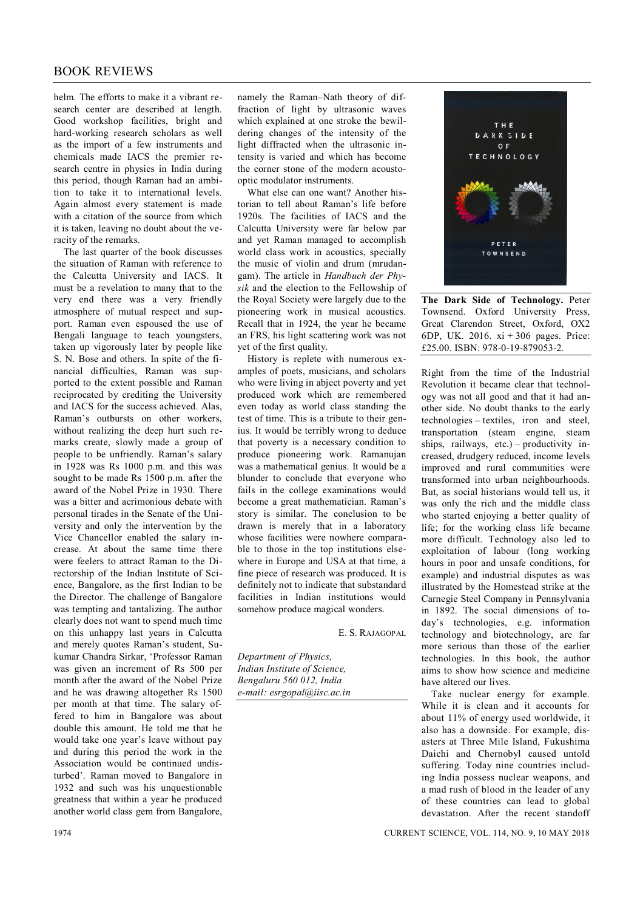## BOOK REVIEWS

helm. The efforts to make it a vibrant research center are described at length. Good workshop facilities, bright and hard-working research scholars as well as the import of a few instruments and chemicals made IACS the premier research centre in physics in India during this period, though Raman had an ambition to take it to international levels. Again almost every statement is made with a citation of the source from which it is taken, leaving no doubt about the veracity of the remarks.

The last quarter of the book discusses the situation of Raman with reference to the Calcutta University and IACS. It must be a revelation to many that to the very end there was a very friendly atmosphere of mutual respect and support. Raman even espoused the use of Bengali language to teach youngsters, taken up vigorously later by people like S. N. Bose and others. In spite of the financial difficulties, Raman was supported to the extent possible and Raman reciprocated by crediting the University and IACS for the success achieved. Alas, Raman's outbursts on other workers, without realizing the deep hurt such remarks create, slowly made a group of people to be unfriendly. Raman's salary in 1928 was Rs 1000 p.m. and this was sought to be made Rs 1500 p.m. after the award of the Nobel Prize in 1930. There was a bitter and acrimonious debate with personal tirades in the Senate of the University and only the intervention by the Vice Chancellor enabled the salary increase. At about the same time there were feelers to attract Raman to the Directorship of the Indian Institute of Science, Bangalore, as the first Indian to be the Director. The challenge of Bangalore was tempting and tantalizing. The author clearly does not want to spend much time on this unhappy last years in Calcutta and merely quotes Raman's student, Sukumar Chandra Sirkar, 'Professor Raman was given an increment of Rs 500 per month after the award of the Nobel Prize and he was drawing altogether Rs 1500 per month at that time. The salary offered to him in Bangalore was about double this amount. He told me that he would take one year's leave without pay and during this period the work in the Association would be continued undisturbed'. Raman moved to Bangalore in 1932 and such was his unquestionable greatness that within a year he produced another world class gem from Bangalore,

namely the Raman–Nath theory of diffraction of light by ultrasonic waves which explained at one stroke the bewildering changes of the intensity of the light diffracted when the ultrasonic intensity is varied and which has become the corner stone of the modern acoustooptic modulator instruments.

What else can one want? Another historian to tell about Raman's life before 1920s. The facilities of IACS and the Calcutta University were far below par and yet Raman managed to accomplish world class work in acoustics, specially the music of violin and drum (mrudangam). The article in *Handbuch der Physik* and the election to the Fellowship of the Royal Society were largely due to the pioneering work in musical acoustics. Recall that in 1924, the year he became an FRS, his light scattering work was not yet of the first quality.

History is replete with numerous examples of poets, musicians, and scholars who were living in abject poverty and yet produced work which are remembered even today as world class standing the test of time. This is a tribute to their genius. It would be terribly wrong to deduce that poverty is a necessary condition to produce pioneering work. Ramanujan was a mathematical genius. It would be a blunder to conclude that everyone who fails in the college examinations would become a great mathematician. Raman's story is similar. The conclusion to be drawn is merely that in a laboratory whose facilities were nowhere comparable to those in the top institutions elsewhere in Europe and USA at that time, a fine piece of research was produced. It is definitely not to indicate that substandard facilities in Indian institutions would somehow produce magical wonders.

E. S. RAJAGOPAL

*Department of Physics, Indian Institute of Science, Bengaluru 560 012, India e-mail: esrgopal@iisc.ac.in*



**The Dark Side of Technology.** Peter Townsend. Oxford University Press, Great Clarendon Street, Oxford, OX2 6DP, UK. 2016. xi + 306 pages. Price: £25.00. ISBN: 978-0-19-879053-2.

Right from the time of the Industrial Revolution it became clear that technology was not all good and that it had another side. No doubt thanks to the early technologies – textiles, iron and steel, transportation (steam engine, steam ships, railways, etc.) – productivity increased, drudgery reduced, income levels improved and rural communities were transformed into urban neighbourhoods. But, as social historians would tell us, it was only the rich and the middle class who started enjoying a better quality of life; for the working class life became more difficult. Technology also led to exploitation of labour (long working hours in poor and unsafe conditions, for example) and industrial disputes as was illustrated by the Homestead strike at the Carnegie Steel Company in Pennsylvania in 1892. The social dimensions of today's technologies, e.g. information technology and biotechnology, are far more serious than those of the earlier technologies. In this book, the author aims to show how science and medicine have altered our lives.

Take nuclear energy for example. While it is clean and it accounts for about 11% of energy used worldwide, it also has a downside. For example, disasters at Three Mile Island, Fukushima Daichi and Chernobyl caused untold suffering. Today nine countries including India possess nuclear weapons, and a mad rush of blood in the leader of any of these countries can lead to global devastation. After the recent standoff